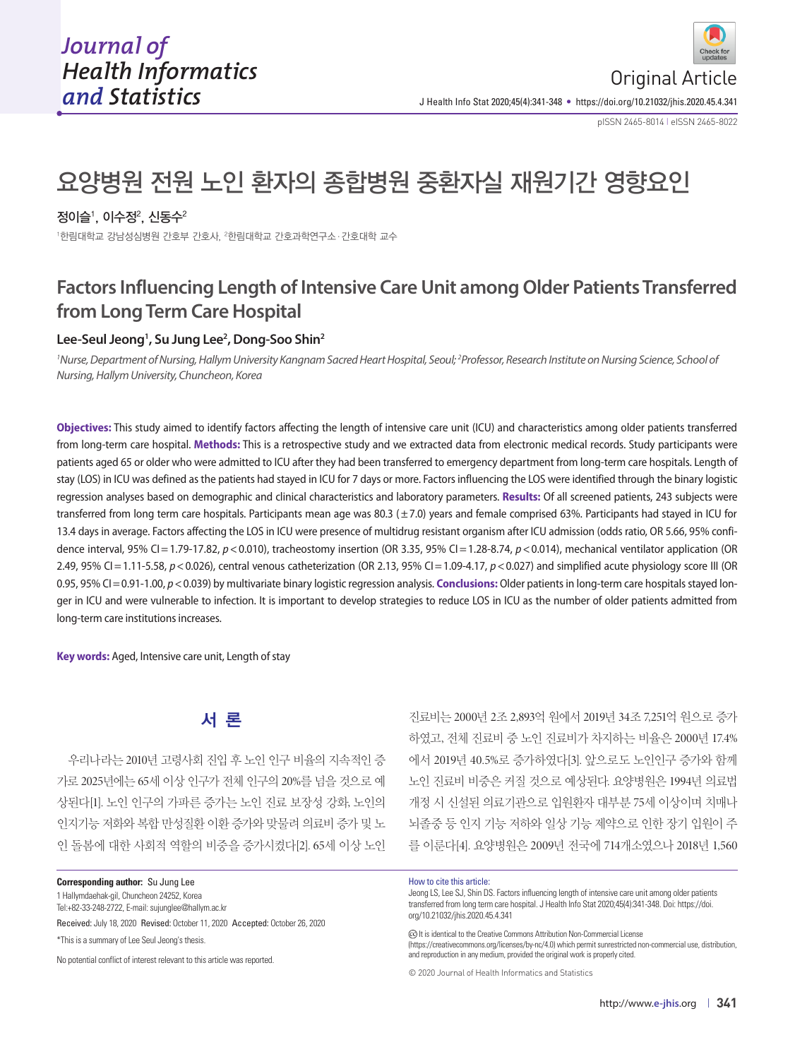pISSN 2465-8014 **|** eISSN 2465-8022

# 요양병원 전원 노인 환자의 종합병원 중환자실 재원기간 영향요인

#### 정이슬', 이수정<del>'</del>, 신동수<del>'</del>

1 한림대학교 강남성심병원 간호부 간호사, 2 한림대학교 간호과학연구소·간호대학 교수

## **Factors Influencing Length of Intensive Care Unit among Older Patients Transferred from Long Term Care Hospital**

#### **Lee-Seul Jeong1 , Su Jung Lee2 , Dong-Soo Shin2**

<sup>1</sup> Nurse, Department of Nursing, Hallym University Kangnam Sacred Heart Hospital, Seoul; <sup>2</sup> Professor, Research Institute on Nursing Science, School of *Nursing, Hallym University, Chuncheon, Korea*

**Objectives:** This study aimed to identify factors affecting the length of intensive care unit (ICU) and characteristics among older patients transferred from long-term care hospital. **Methods:** This is a retrospective study and we extracted data from electronic medical records. Study participants were patients aged 65 or older who were admitted to ICU after they had been transferred to emergency department from long-term care hospitals. Length of stay (LOS) in ICU was defined as the patients had stayed in ICU for 7 days or more. Factors influencing the LOS were identified through the binary logistic regression analyses based on demographic and clinical characteristics and laboratory parameters. **Results:** Of all screened patients, 243 subjects were transferred from long term care hospitals. Participants mean age was 80.3 ( $\pm$ 7.0) years and female comprised 63%. Participants had stayed in ICU for 13.4 days in average. Factors affecting the LOS in ICU were presence of multidrug resistant organism after ICU admission (odds ratio, OR 5.66, 95% confidence interval, 95% CI = 1.79-17.82,  $p < 0.010$ ), tracheostomy insertion (OR 3.35, 95% CI = 1.28-8.74,  $p < 0.014$ ), mechanical ventilator application (OR 2.49, 95% CI = 1.11-5.58,  $p$  < 0.026), central venous catheterization (OR 2.13, 95% CI = 1.09-4.17,  $p$  < 0.027) and simplified acute physiology score III (OR 0.95, 95% CI = 0.91-1.00,  $p < 0.039$ ) by multivariate binary logistic regression analysis. **Conclusions:** Older patients in long-term care hospitals stayed longer in ICU and were vulnerable to infection. It is important to develop strategies to reduce LOS in ICU as the number of older patients admitted from long-term care institutions increases.

**Key words:** Aged, Intensive care unit, Length of stay

## 서 론

우리나라는 2010년 고령사회 진입 후 노인 인구 비율의 지속적인 증 가로 2025년에는 65세 이상 인구가 전체 인구의 20%를 넘을 것으로 예 상된다[1]. 노인 인구의 가파른 증가는 노인 진료 보장성 강화, 노인의 인지기능 저화와 복합 만성질환 이환 증가와 맞물려 의료비 증가 및 노 인 돌봄에 대한 사회적 역할의 비중을 증가시켰다[2]. 65세 이상 노인

**Corresponding author:** Su Jung Lee

1 Hallymdaehak-gil, Chuncheon 24252, Korea

Tel:+82-33-248-2722, E-mail: sujunglee@hallym.ac.kr

Received: July 18, 2020 Revised: October 11, 2020 Accepted: October 26, 2020 \*This is a summary of Lee Seul Jeong's thesis.

No potential conflict of interest relevant to this article was reported.

#### How to cite this article:

Jeong LS, Lee SJ, Shin DS. Factors influencing length of intensive care unit among older patients transferred from long term care hospital. J Health Info Stat 2020;45(4):341-348. Doi: https://doi. org/10.21032/jhis.2020.45.4.341

진료비는 2000년 2조 2,893억 원에서 2019년 34조 7,251억 원으로 증가 하였고, 전체 진료비 중 노인 진료비가 차지하는 비율은 2000년 17.4% 에서 2019년 40.5%로 증가하였다[3]. 앞으로도 노인인구 증가와 함께 노인 진료비 비중은 커질 것으로 예상된다. 요양병원은 1994년 의료법 개정 시 신설된 의료기관으로 입원환자 대부분 75세 이상이며 치매나 뇌졸중 등 인지 기능 저하와 일상 기능 제약으로 인한 장기 입원이 주 를 이룬다[4]. 요양병원은 2009년 전국에 714개소였으나 2018년 1,560

(c) It is identical to the Creative Commons Attribution Non-Commercial License

(https://creativecommons.org/licenses/by-nc/4.0) which permit sunrestricted non-commercial use, distribution, and reproduction in any medium, provided the original work is properly cited.

© 2020 Journal of Health Informatics and Statistics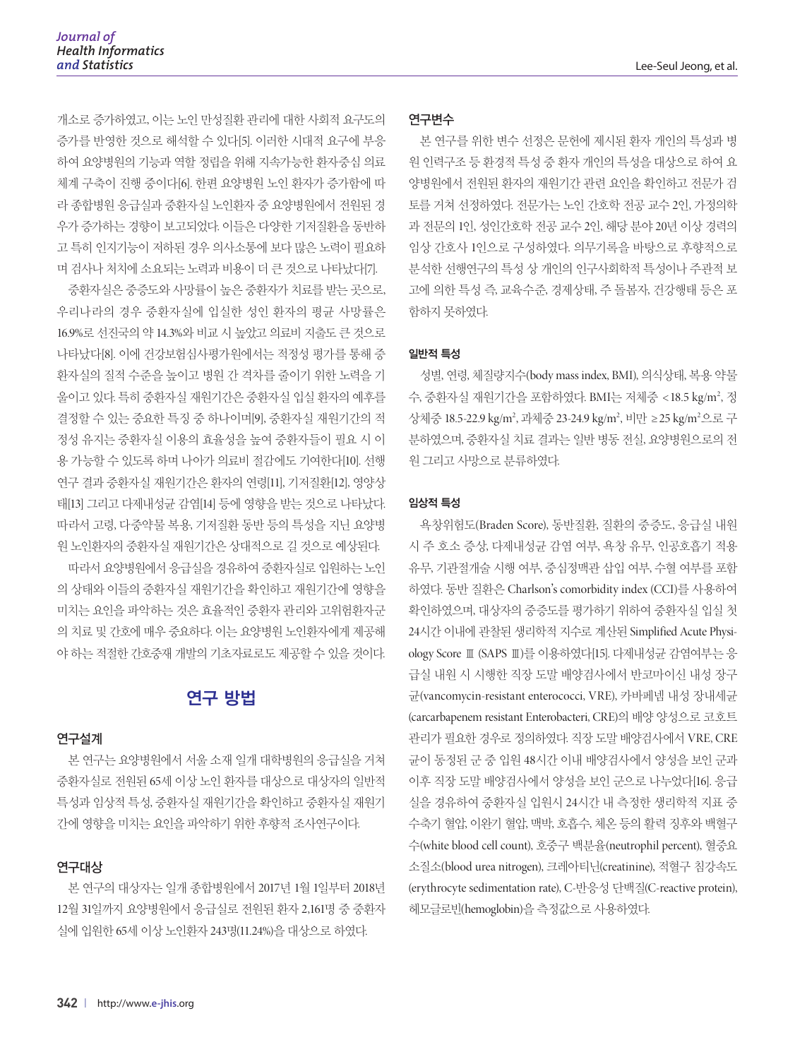개소로 증가하였고, 이는 노인 만성질환 관리에 대한 사회적 요구도의 증가를 반영한 것으로 해석할 수 있다[5]. 이러한 시대적 요구에 부응 하여 요양병원의 기능과 역할 정립을 위해 지속가능한 환자중심 의료 체계 구축이 진행 중이다[6]. 한편 요양병원 노인 환자가 증가함에 따 라 종합병원 응급실과 중환자실 노인환자 중 요양병원에서 전원된 경 우가 증가하는 경향이 보고되었다. 이들은 다양한 기저질환을 동반하 고 특히 인지기능이 저하된 경우 의사소통에 보다 많은 노력이 필요하 며 검사나 처치에 소요되는 노력과 비용이 더 큰 것으로 나타났다[7].

중환자실은 중증도와 사망률이 높은 중환자가 치료를 받는 곳으로, 우리나라의 경우 중환자실에 입실한 성인 환자의 평균 사망률은 16.9%로 선진국의 약 14.3%와 비교 시 높았고 의료비 지출도 큰 것으로 나타났다[8]. 이에 건강보험심사평가원에서는 적정성 평가를 통해 중 환자실의 질적 수준을 높이고 병원 간 격차를 줄이기 위한 노력을 기 울이고 있다. 특히 중환자실 재원기간은 중환자실 입실 환자의 예후를 결정할 수 있는 중요한 특징 중 하나이며[9], 중환자실 재원기간의 적 정성 유지는 중환자실 이용의 효율성을 높여 중환자들이 필요 시 이 용 가능할 수 있도록 하며 나아가 의료비 절감에도 기여한다[10]. 선행 연구 결과 중환자실 재원기간은 환자의 연령[11], 기저질환[12], 영양상 태[13] 그리고 다제내성균 감염[14] 등에 영향을 받는 것으로 나타났다. 따라서 고령, 다중약물 복용, 기저질환 동반 등의 특성을 지닌 요양병 원 노인환자의 중환자실 재원기간은 상대적으로 길 것으로 예상된다.

따라서 요양병원에서 응급실을 경유하여 중환자실로 입원하는 노인 의 상태와 이들의 중환자실 재원기간을 확인하고 재원기간에 영향을 미치는 요인을 파악하는 것은 효율적인 중환자 관리와 고위험환자군 의 치료 및 간호에 매우 중요하다. 이는 요양병원 노인환자에게 제공해 야 하는 적절한 간호중재 개발의 기초자료로도 제공할 수 있을 것이다.

### 연구 방법

#### 연구설계

본 연구는 요양병원에서 서울 소재 일개 대학병원의 응급실을 거쳐 중환자실로 전원된 65세 이상 노인 환자를 대상으로 대상자의 일반적 특성과 임상적 특성, 중환자실 재원기간을 확인하고 중환자실 재원기 간에 영향을 미치는 요인을 파악하기 위한 후향적 조사연구이다.

#### 연구대상

본 연구의 대상자는 일개 종합병원에서 2017년 1월 1일부터 2018년 12월 31일까지 요양병원에서 응급실로 전원된 환자 2,161명 중 중환자 실에 입원한 65세 이상 노인환자 243명(11.24%)을 대상으로 하였다.

#### 연구변수

본 연구를 위한 변수 선정은 문헌에 제시된 환자 개인의 특성과 병 원 인력구조 등 환경적 특성 중 환자 개인의 특성을 대상으로 하여 요 양병원에서 전원된 환자의 재원기간 관련 요인을 확인하고 전문가 검 토를 거쳐 선정하였다. 전문가는 노인 간호학 전공 교수 2인, 가정의학 과 전문의 1인, 성인간호학 전공 교수 2인, 해당 분야 20년 이상 경력의 임상 간호사 1인으로 구성하였다. 의무기록을 바탕으로 후향적으로 분석한 선행연구의 특성 상 개인의 인구사회학적 특성이나 주관적 보 고에 의한 특성 즉, 교육수준, 경제상태, 주 돌봄자, 건강행태 등은 포 함하지 못하였다.

#### 일반적 특성

성별, 연령, 체질량지수(body mass index, BMI), 의식상태, 복용 약물 수, 중환자실 재원기간을 포함하였다. BMI는 저체중 <18.5 kg/m², 정 상체중 18.5-22.9 kg/m², 과체중 23-24.9 kg/m², 비만 ≥25 kg/m²으로 구 분하였으며, 중환자실 치료 결과는 일반 병동 전실, 요양병원으로의 전 원 그리고 사망으로 분류하였다.

#### 임상적 특성

욕창위험도(Braden Score), 동반질환, 질환의 중증도, 응급실 내원 시 주 호소 증상, 다제내성균 감염 여부, 욕창 유무, 인공호흡기 적용 유무, 기관절개술 시행 여부, 중심정맥관 삽입 여부, 수혈 여부를 포함 하였다. 동반 질환은 Charlson's comorbidity index (CCI)를 사용하여 확인하였으며, 대상자의 중증도를 평가하기 위하여 중환자실 입실 첫 24시간 이내에 관찰된 생리학적 지수로 계산된 Simplified Acute Physiology Score Ⅲ (SAPS Ⅲ)를 이용하였다[15]. 다제내성균 감염여부는 응 급실 내원 시 시행한 직장 도말 배양검사에서 반코마이신 내성 장구 균(vancomycin-resistant enterococci, VRE), 카바페넴 내성 장내세균 (carcarbapenem resistant Enterobacteri, CRE)의 배양 양성으로 코호트 관리가 필요한 경우로 정의하였다. 직장 도말 배양검사에서 VRE, CRE 균이 동정된 군 중 입원 48시간 이내 배양검사에서 양성을 보인 군과 이후 직장 도말 배양검사에서 양성을 보인 군으로 나누었다[16]. 응급 실을 경유하여 중환자실 입원시 24시간 내 측정한 생리학적 지표 중 수축기 혈압, 이완기 혈압, 맥박, 호흡수, 체온 등의 활력 징후와 백혈구 수(white blood cell count), 호중구 백분율(neutrophil percent), 혈중요 소질소(blood urea nitrogen), 크레아티닌(creatinine), 적혈구 침강속도 (erythrocyte sedimentation rate), C-반응성 단백질(C-reactive protein), 헤모글로빈(hemoglobin)을 측정값으로 사용하였다.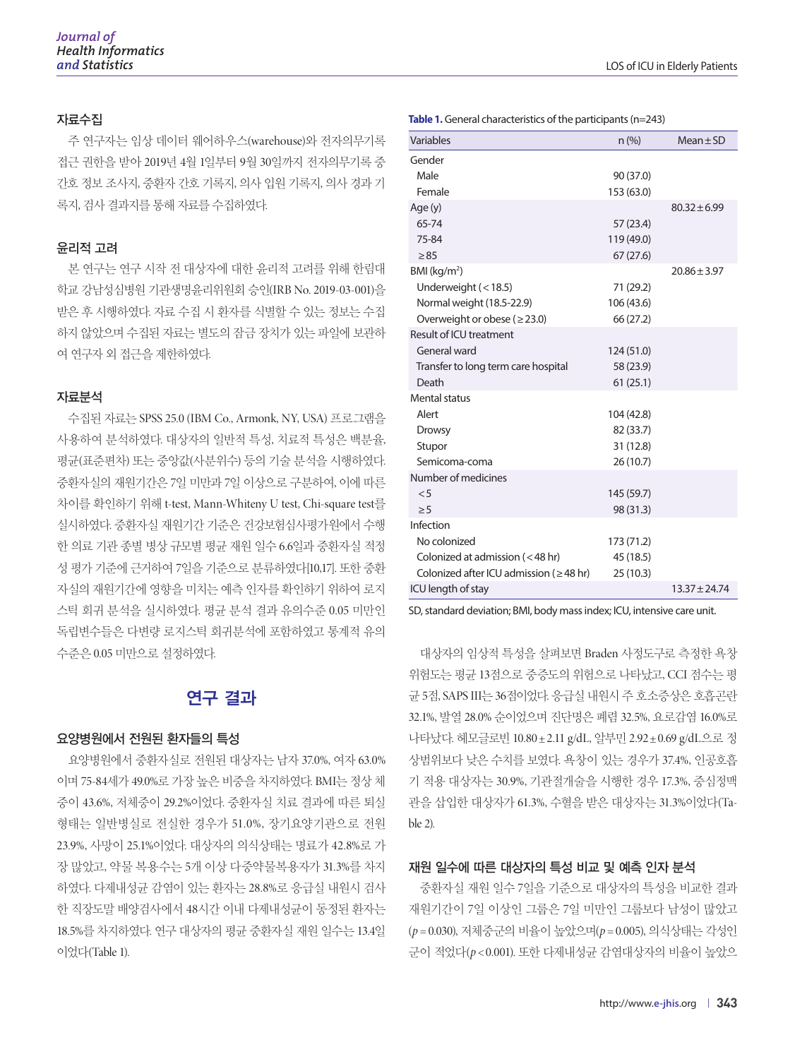#### 자료수집

주 연구자는 임상 데이터 웨어하우스(warehouse)와 전자의무기록 접근 권한을 받아 2019년 4월 1일부터 9월 30일까지 전자의무기록 중 간호 정보 조사지, 중환자 간호 기록지, 의사 입원 기록지, 의사 경과 기 록지, 검사 결과지를 통해 자료를 수집하였다.

#### 윤리적 고려

본 연구는 연구 시작 전 대상자에 대한 윤리적 고려를 위해 한림대 학교 강남성심병원 기관생명윤리위원회 승인(IRB No. 2019-03-001)을 받은 후 시행하였다. 자료 수집 시 환자를 식별할 수 있는 정보는 수집 하지 않았으며 수집된 자료는 별도의 잠금 장치가 있는 파일에 보관하 여 연구자 외 접근을 제한하였다.

#### 자료분석

수집된 자료는 SPSS 25.0 (IBM Co., Armonk, NY, USA) 프로그램을 사용하여 분석하였다. 대상자의 일반적 특성, 치료적 특성은 백분율, 평균(표준편차) 또는 중앙값(사분위수) 등의 기술 분석을 시행하였다. 중환자실의 재원기간은 7일 미만과 7일 이상으로 구분하여, 이에 따른 차이를 확인하기 위해 t-test, Mann-Whiteny U test, Chi-square test를 실시하였다. 중환자실 재원기간 기준은 건강보험심사평가원에서 수행 한 의료 기관 종별 병상 규모별 평균 재원 일수 6.6일과 중환자실 적정 성 평가 기준에 근거하여 7일을 기준으로 분류하였다[10,17]. 또한 중환 자실의 재원기간에 영향을 미치는 예측 인자를 확인하기 위하여 로지 스틱 회귀 분석을 실시하였다. 평균 분석 결과 유의수준 0.05 미만인 독립변수들은 다변량 로지스틱 회귀분석에 포함하였고 통계적 유의 수준은 0.05 미만으로 설정하였다.

## 연구 결과

#### 요양병원에서 전원된 환자들의 특성

요양병원에서 중환자실로 전원된 대상자는 남자 37.0%, 여자 63.0% 이며 75-84세가 49.0%로 가장 높은 비중을 차지하였다. BMI는 정상 체 중이 43.6%, 저체중이 29.2%이었다. 중환자실 치료 결과에 따른 퇴실 형태는 일반병실로 전실한 경우가 51.0%, 장기요양기관으로 전원 23.9%, 사망이 25.1%이었다. 대상자의 의식상태는 명료가 42.8%로 가 장 많았고, 약물 복용수는 5개 이상 다중약물복용자가 31.3%를 차지 하였다. 다제내성균 감염이 있는 환자는 28.8%로 응급실 내원시 검사 한 직장도말 배양검사에서 48시간 이내 다제내성균이 동정된 환자는 18.5%를 차지하였다. 연구 대상자의 평균 중환자실 재원 일수는 13.4일 이었다(Table 1).

|                                               | scricture indiacteristics of the participants (if |                  |
|-----------------------------------------------|---------------------------------------------------|------------------|
| Variables                                     | n (%)                                             | $Mean \pm SD$    |
| Gender                                        |                                                   |                  |
| Male                                          | 90 (37.0)                                         |                  |
| Female                                        | 153 (63.0)                                        |                  |
| Age (y)                                       |                                                   | $80.32 \pm 6.99$ |
| 65-74                                         | 57 (23.4)                                         |                  |
| 75-84                                         | 119 (49.0)                                        |                  |
| $\geq 85$                                     | 67(27.6)                                          |                  |
| $BMl$ (kg/m <sup>2</sup> )                    |                                                   | $20.86 \pm 3.97$ |
| Underweight $(< 18.5)$                        | 71 (29.2)                                         |                  |
| Normal weight (18.5-22.9)                     | 106 (43.6)                                        |                  |
| Overweight or obese ( $\geq$ 23.0)            | 66 (27.2)                                         |                  |
| Result of ICU treatment                       |                                                   |                  |
| General ward                                  | 124 (51.0)                                        |                  |
| Transfer to long term care hospital           | 58 (23.9)                                         |                  |
| Death                                         | 61(25.1)                                          |                  |
| Mental status                                 |                                                   |                  |
| Alert                                         | 104 (42.8)                                        |                  |
| <b>Drowsy</b>                                 | 82 (33.7)                                         |                  |
| Stupor                                        | 31 (12.8)                                         |                  |
| Semicoma-coma                                 | 26(10.7)                                          |                  |
| Number of medicines                           |                                                   |                  |
| < 5                                           | 145 (59.7)                                        |                  |
| $\geq 5$                                      | 98 (31.3)                                         |                  |
| Infection                                     |                                                   |                  |
| No colonized                                  | 173 (71.2)                                        |                  |
| Colonized at admission (<48 hr)               | 45 (18.5)                                         |                  |
| Colonized after ICU admission ( $\geq$ 48 hr) | 25 (10.3)                                         |                  |
| ICU length of stay                            |                                                   | $13.37 + 24.74$  |

**Table 1.** General characteristics of the participants (n=243)

SD, standard deviation; BMI, body mass index; ICU, intensive care unit.

대상자의 임상적 특성을 살펴보면 Braden 사정도구로 측정한 욕창 위험도는 평균 13점으로 중증도의 위험으로 나타났고, CCI 점수는 평 균 5점, SAPS III는 36점이었다. 응급실 내원시 주 호소증상은 호흡곤란 32.1%, 발열 28.0% 순이었으며 진단명은 폐렴 32.5%, 요로감염 16.0%로 나타났다. 헤모글로빈 10.80±2.11 g/dL, 알부민 2.92±0.69 g/dL으로 정 상범위보다 낮은 수치를 보였다. 욕창이 있는 경우가 37.4%, 인공호흡 기 적용 대상자는 30.9%, 기관절개술을 시행한 경우 17.3%, 중심정맥 관을 삽입한 대상자가 61.3%, 수혈을 받은 대상자는 31.3%이었다(Table 2).

#### 재원 일수에 따른 대상자의 특성 비교 및 예측 인자 분석

중환자실 재원 일수 7일을 기준으로 대상자의 특성을 비교한 결과 재원기간이 7일 이상인 그룹은 7일 미만인 그룹보다 남성이 많았고 (*p* = 0.030), 저체중군의 비율이 높았으며(*p* = 0.005), 의식상태는 각성인 군이 적었다(*p* < 0.001). 또한 다제내성균 감염대상자의 비율이 높았으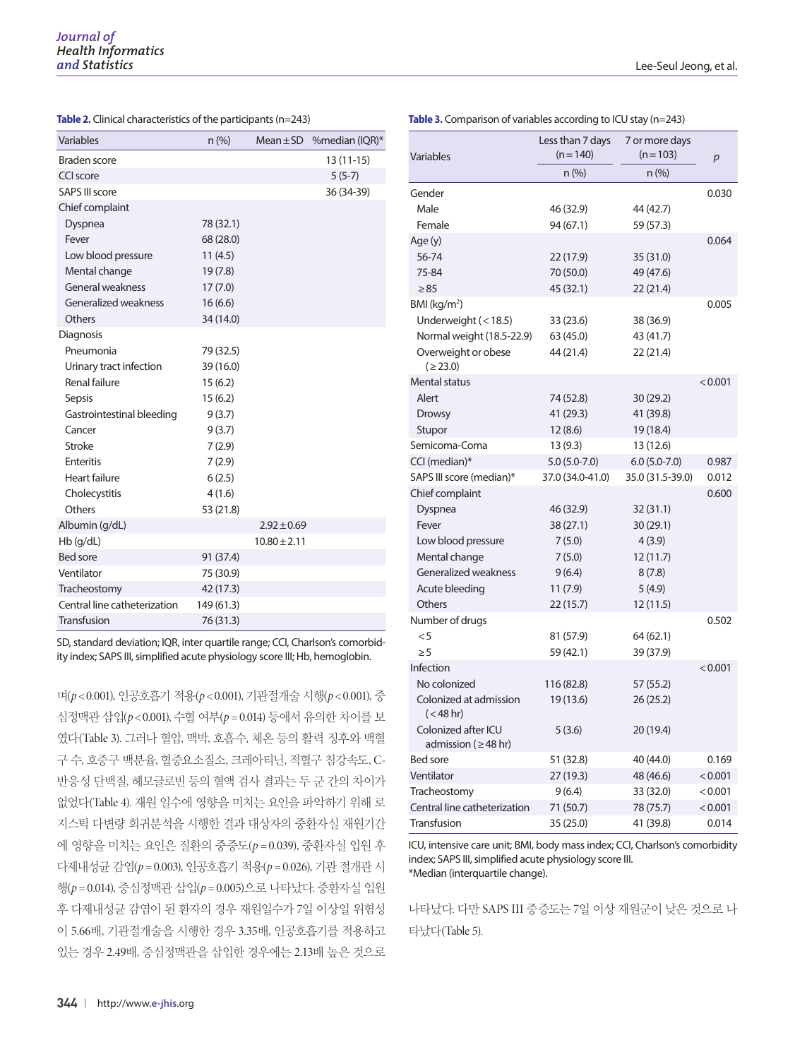| <b>Variables</b>             | n (%)      |                  | Mean $\pm$ SD % median (IQR)* |
|------------------------------|------------|------------------|-------------------------------|
| Braden score                 |            |                  | $13(11-15)$                   |
| CCI score                    |            |                  | $5(5-7)$                      |
| <b>SAPS III score</b>        |            |                  | 36 (34-39)                    |
| Chief complaint              |            |                  |                               |
| Dyspnea                      | 78 (32.1)  |                  |                               |
| Fever                        | 68 (28.0)  |                  |                               |
| Low blood pressure           | 11(4.5)    |                  |                               |
| Mental change                | 19(7.8)    |                  |                               |
| General weakness             | 17(7.0)    |                  |                               |
| Generalized weakness         | 16(6.6)    |                  |                               |
| Others                       | 34 (14.0)  |                  |                               |
| Diagnosis                    |            |                  |                               |
| Pneumonia                    | 79 (32.5)  |                  |                               |
| Urinary tract infection      | 39 (16.0)  |                  |                               |
| Renal failure                | 15(6.2)    |                  |                               |
| Sepsis                       | 15(6.2)    |                  |                               |
| Gastrointestinal bleeding    | 9(3.7)     |                  |                               |
| Cancer                       | 9(3.7)     |                  |                               |
| Stroke                       | 7(2.9)     |                  |                               |
| <b>Enteritis</b>             | 7(2.9)     |                  |                               |
| <b>Heart failure</b>         | 6(2.5)     |                  |                               |
| Cholecystitis                | 4(1.6)     |                  |                               |
| Others                       | 53 (21.8)  |                  |                               |
| Albumin (g/dL)               |            | $2.92 \pm 0.69$  |                               |
| $Hb$ (g/dL)                  |            | $10.80 \pm 2.11$ |                               |
| <b>Bed sore</b>              | 91 (37.4)  |                  |                               |
| Ventilator                   | 75 (30.9)  |                  |                               |
| Tracheostomy                 | 42 (17.3)  |                  |                               |
| Central line catheterization | 149 (61.3) |                  |                               |
| Transfusion                  | 76 (31.3)  |                  |                               |

**Table 2.** Clinical characteristics of the participants (n=243)

SD, standard deviation; IQR, inter quartile range; CCI, Charlson's comorbidity index; SAPS III, simplified acute physiology score III; Hb, hemoglobin.

며(*p* < 0.001), 인공호흡기 적용(*p* < 0.001), 기관절개술 시행(*p* < 0.001), 중 심정맥관 삽입(*p* < 0.001), 수혈 여부(*p* = 0.014) 등에서 유의한 차이를 보 였다(Table 3). 그러나 혈압, 맥박, 호흡수, 체온 등의 활력 징후와 백혈 구 수, 호중구 백분율, 혈중요소질소, 크레아티닌, 적혈구 침강속도, C-반응성 단백질, 헤모글로빈 등의 혈액 검사 결과는 두 군 간의 차이가 없었다(Table 4). 재원 일수에 영향을 미치는 요인을 파악하기 위해 로 지스틱 다변량 회귀분석을 시행한 결과 대상자의 중환자실 재원기간 에 영향을 미치는 요인은 질환의 중증도(*p* = 0.039), 중환자실 입원 후 다제내성균 감염(*p* = 0.003), 인공호흡기 적용(*p* = 0.026), 기관 절개관 시 행(*p* = 0.014), 중심정맥관 삽입(*p* = 0.005)으로 나타났다. 중환자실 입원 후 다제내성균 감염이 된 환자의 경우 재원일수가 7일 이상일 위험성 이 5.66배, 기관절개술을 시행한 경우 3.35배, 인공호흡기를 적용하고 있는 경우 2.49배, 중심정맥관을 삽입한 경우에는 2.13배 높은 것으로

| Variables                                        | Less than 7 days<br>$(n=140)$ | 7 or more days<br>$(n=103)$ | p       |
|--------------------------------------------------|-------------------------------|-----------------------------|---------|
|                                                  | n (%)                         | $n$ (%)                     |         |
| Gender                                           |                               |                             | 0.030   |
| Male                                             | 46 (32.9)                     | 44 (42.7)                   |         |
| Female                                           | 94 (67.1)                     | 59 (57.3)                   |         |
| Age (y)                                          |                               |                             | 0.064   |
| 56-74                                            | 22 (17.9)                     | 35 (31.0)                   |         |
| 75-84                                            | 70 (50.0)                     | 49 (47.6)                   |         |
| $\geq 85$                                        | 45 (32.1)                     | 22(21.4)                    |         |
| $BMl$ (kg/m <sup>2</sup> )                       |                               |                             | 0.005   |
| Underweight (<18.5)                              | 33 (23.6)                     | 38 (36.9)                   |         |
| Normal weight (18.5-22.9)                        | 63 (45.0)                     | 43 (41.7)                   |         |
| Overweight or obese                              | 44 (21.4)                     | 22(21.4)                    |         |
| (≥23.0)                                          |                               |                             |         |
| Mental status                                    |                               |                             | < 0.001 |
| Alert                                            | 74 (52.8)                     | 30 (29.2)                   |         |
| <b>Drowsy</b>                                    | 41 (29.3)                     | 41 (39.8)                   |         |
| Stupor                                           | 12(8.6)                       | 19 (18.4)                   |         |
| Semicoma-Coma                                    | 13(9.3)                       | 13 (12.6)                   |         |
| CCI (median)*                                    | $5.0(5.0-7.0)$                | $6.0(5.0-7.0)$              | 0.987   |
| SAPS III score (median)*                         | 37.0 (34.0-41.0)              | 35.0 (31.5-39.0)            | 0.012   |
| Chief complaint                                  |                               |                             | 0.600   |
| Dyspnea                                          | 46 (32.9)                     | 32 (31.1)                   |         |
| Fever                                            | 38 (27.1)                     | 30(29.1)                    |         |
| Low blood pressure                               | 7(5.0)                        | 4(3.9)                      |         |
| Mental change                                    | 7(5.0)                        | 12(11.7)                    |         |
| Generalized weakness                             | 9(6.4)                        | 8(7.8)                      |         |
| Acute bleeding                                   | 11(7.9)                       | 5(4.9)                      |         |
| Others                                           | 22 (15.7)                     | 12(11.5)                    |         |
| Number of drugs                                  |                               |                             | 0.502   |
| $<$ 5                                            | 81 (57.9)                     | 64 (62.1)                   |         |
| $\geq 5$                                         | 59 (42.1)                     | 39 (37.9)                   |         |
| Infection                                        |                               |                             | < 0.001 |
| No colonized                                     | 116 (82.8)                    | 57 (55.2)                   |         |
| Colonized at admission<br>$(< 48$ hr)            | 19 (13.6)                     | 26 (25.2)                   |         |
| Colonized after ICU<br>admission ( $\geq$ 48 hr) | 5(3.6)                        | 20 (19.4)                   |         |
| Bed sore                                         | 51 (32.8)                     | 40 (44.0)                   | 0.169   |
| Ventilator                                       | 27 (19.3)                     | 48 (46.6)                   | < 0.001 |
| Tracheostomy                                     | 9 (6.4)                       | 33 (32.0)                   | < 0.001 |
| Central line catheterization                     | 71 (50.7)                     | 78 (75.7)                   | < 0.001 |
| Transfusion                                      | 35 (25.0)                     | 41 (39.8)                   | 0.014   |

ICU, intensive care unit; BMI, body mass index; CCI, Charlson's comorbidity index; SAPS III, simplified acute physiology score III. \*Median (interquartile change).

나타났다. 다만 SAPS III 중증도는 7일 이상 재원군이 낮은 것으로 나 타났다(Table 5).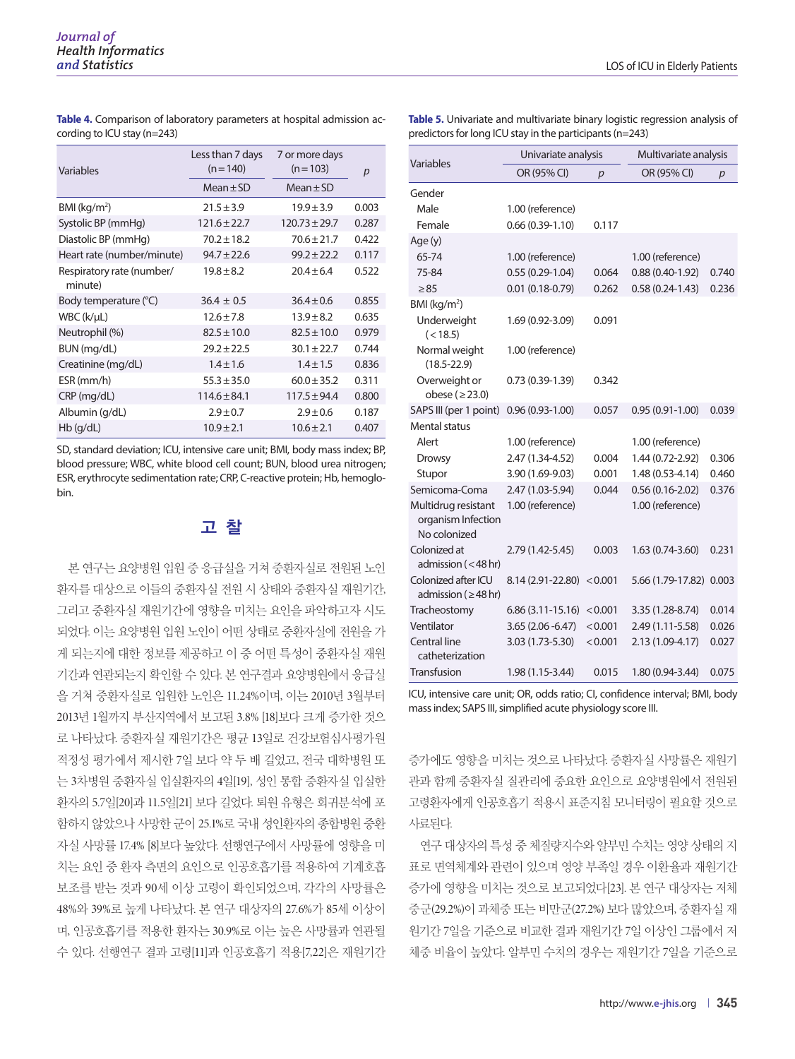**Table 4.** Comparison of laboratory parameters at hospital admission according to ICU stay (n=243)

| Variables                            | Less than 7 days<br>$(n = 140)$ | 7 or more days<br>$(n=103)$ | p     |
|--------------------------------------|---------------------------------|-----------------------------|-------|
|                                      | $Mean \pm SD$                   | $Mean \pm SD$               |       |
| $BMI$ (kg/m <sup>2</sup> )           | $21.5 \pm 3.9$                  | $19.9 \pm 3.9$              | 0.003 |
| Systolic BP (mmHg)                   | $121.6 \pm 22.7$                | $120.73 \pm 29.7$           | 0.287 |
| Diastolic BP (mmHg)                  | $70.2 \pm 18.2$                 | $70.6 \pm 21.7$             | 0.422 |
| Heart rate (number/minute)           | $94.7 \pm 22.6$                 | $99.2 + 22.2$               | 0.117 |
| Respiratory rate (number/<br>minute) | $19.8 \pm 8.2$                  | $20.4 + 6.4$                | 0.522 |
| Body temperature (°C)                | $36.4 \pm 0.5$                  | $36.4 \pm 0.6$              | 0.855 |
| WBC (k/µL)                           | $12.6 \pm 7.8$                  | $13.9 \pm 8.2$              | 0.635 |
| Neutrophil (%)                       | $82.5 \pm 10.0$                 | $82.5 \pm 10.0$             | 0.979 |
| BUN (mg/dL)                          | $29.2 + 22.5$                   | $30.1 \pm 22.7$             | 0.744 |
| Creatinine (mg/dL)                   | $1.4 \pm 1.6$                   | $1.4 \pm 1.5$               | 0.836 |
| ESR (mm/h)                           | $55.3 \pm 35.0$                 | $60.0 \pm 35.2$             | 0.311 |
| CRP (mg/dL)                          | $114.6 \pm 84.1$                | $117.5 \pm 94.4$            | 0.800 |
| Albumin (g/dL)                       | $2.9 \pm 0.7$                   | $2.9 \pm 0.6$               | 0.187 |
| $Hb$ (g/dL)                          | $10.9 \pm 2.1$                  | $10.6 \pm 2.1$              | 0.407 |

SD, standard deviation; ICU, intensive care unit; BMI, body mass index; BP, blood pressure; WBC, white blood cell count; BUN, blood urea nitrogen; ESR, erythrocyte sedimentation rate; CRP, C-reactive protein; Hb, hemoglobin.

#### 고 찰

본 연구는 요양병원 입원 중 응급실을 거쳐 중환자실로 전원된 노인 환자를 대상으로 이들의 중환자실 전원 시 상태와 중환자실 재원기간, 그리고 중환자실 재원기간에 영향을 미치는 요인을 파악하고자 시도 되었다. 이는 요양병원 입원 노인이 어떤 상태로 중환자실에 전원을 가 게 되는지에 대한 정보를 제공하고 이 중 어떤 특성이 중환자실 재원 기간과 연관되는지 확인할 수 있다. 본 연구결과 요양병원에서 응급실 을 거쳐 중환자실로 입원한 노인은 11.24%이며, 이는 2010년 3월부터 2013년 1월까지 부산지역에서 보고된 3.8% [18]보다 크게 증가한 것으 로 나타났다. 중환자실 재원기간은 평균 13일로 건강보험심사평가원 적정성 평가에서 제시한 7일 보다 약 두 배 길었고, 전국 대학병원 또 는 3차병원 중환자실 입실환자의 4일[19], 성인 통합 중환자실 입실한 환자의 5.7일[20]과 11.5일[21] 보다 길었다. 퇴원 유형은 회귀분석에 포 함하지 않았으나 사망한 군이 25.1%로 국내 성인환자의 종합병원 중환 자실 사망률 17.4% [8]보다 높았다. 선행연구에서 사망률에 영향을 미 치는 요인 중 환자 측면의 요인으로 인공호흡기를 적용하여 기계호흡 보조를 받는 것과 90세 이상 고령이 확인되었으며, 각각의 사망률은 48%와 39%로 높게 나타났다. 본 연구 대상자의 27.6%가 85세 이상이 며, 인공호흡기를 적용한 환자는 30.9%로 이는 높은 사망률과 연관될 수 있다. 선행연구 결과 고령[11]과 인공호흡기 적용[7,22]은 재원기간 **Table 5.** Univariate and multivariate binary logistic regression analysis of predictors for long ICU stay in the participants (n=243)

|                                                           | Univariate analysis |         | Multivariate analysis |       |
|-----------------------------------------------------------|---------------------|---------|-----------------------|-------|
| Variables                                                 | OR (95% CI)         | p       | OR (95% CI)           | p     |
| Gender                                                    |                     |         |                       |       |
| Male                                                      | 1.00 (reference)    |         |                       |       |
| Female                                                    | $0.66(0.39-1.10)$   | 0.117   |                       |       |
| Age (y)                                                   |                     |         |                       |       |
| 65-74                                                     | 1.00 (reference)    |         | 1.00 (reference)      |       |
| 75-84                                                     | $0.55(0.29-1.04)$   | 0.064   | $0.88(0.40-1.92)$     | 0.740 |
| > 85                                                      | $0.01(0.18 - 0.79)$ | 0.262   | $0.58(0.24-1.43)$     | 0.236 |
| BMI ( $kg/m2$ )                                           |                     |         |                       |       |
| Underweight<br>(< 18.5)                                   | 1.69 (0.92-3.09)    | 0.091   |                       |       |
| Normal weight<br>$(18.5 - 22.9)$                          | 1.00 (reference)    |         |                       |       |
| Overweight or<br>obese ( $\geq$ 23.0)                     | $0.73(0.39-1.39)$   | 0.342   |                       |       |
| SAPS III (per 1 point)                                    | $0.96(0.93 - 1.00)$ | 0.057   | $0.95(0.91-1.00)$     | 0.039 |
| Mental status                                             |                     |         |                       |       |
| Alert                                                     | 1.00 (reference)    |         | 1.00 (reference)      |       |
| <b>Drowsy</b>                                             | 2.47 (1.34-4.52)    | 0.004   | 1.44 (0.72-2.92)      | 0.306 |
| Stupor                                                    | 3.90 (1.69-9.03)    | 0.001   | $1.48(0.53 - 4.14)$   | 0.460 |
| Semicoma-Coma                                             | 2.47 (1.03-5.94)    | 0.044   | $0.56(0.16-2.02)$     | 0.376 |
| Multidrug resistant<br>organism Infection<br>No colonized | 1.00 (reference)    |         | 1.00 (reference)      |       |
| Colonized at<br>admission $(<$ 48 hr)                     | 2.79 (1.42-5.45)    | 0.003   | $1.63(0.74-3.60)$     | 0.231 |
| Colonized after ICU<br>admission ( $\geq$ 48 hr)          | 8.14 (2.91-22.80)   | < 0.001 | 5.66 (1.79-17.82)     | 0.003 |
| Tracheostomy                                              | $6.86(3.11-15.16)$  | < 0.001 | 3.35 (1.28-8.74)      | 0.014 |
| Ventilator                                                | $3.65(2.06 - 6.47)$ | < 0.001 | 2.49 (1.11-5.58)      | 0.026 |
| <b>Central line</b><br>catheterization                    | 3.03 (1.73-5.30)    | < 0.001 | 2.13 (1.09-4.17)      | 0.027 |
| Transfusion                                               | 1.98 (1.15-3.44)    | 0.015   | 1.80 (0.94-3.44)      | 0.075 |

ICU, intensive care unit; OR, odds ratio; CI, confidence interval; BMI, body mass index; SAPS III, simplified acute physiology score III.

증가에도 영향을 미치는 것으로 나타났다. 중환자실 사망률은 재원기 관과 함께 중환자실 질관리에 중요한 요인으로 요양병원에서 전원된 고령환자에게 인공호흡기 적용시 표준지침 모니터링이 필요할 것으로 사료된다.

연구 대상자의 특성 중 체질량지수와 알부민 수치는 영양 상태의 지 표로 면역체계와 관련이 있으며 영양 부족일 경우 이환율과 재원기간 증가에 영향을 미치는 것으로 보고되었다[23]. 본 연구 대상자는 저체 중군(29.2%)이 과체중 또는 비만군(27.2%) 보다 많았으며, 중환자실 재 원기간 7일을 기준으로 비교한 결과 재원기간 7일 이상인 그룹에서 저 체중 비율이 높았다. 알부민 수치의 경우는 재원기간 7일을 기준으로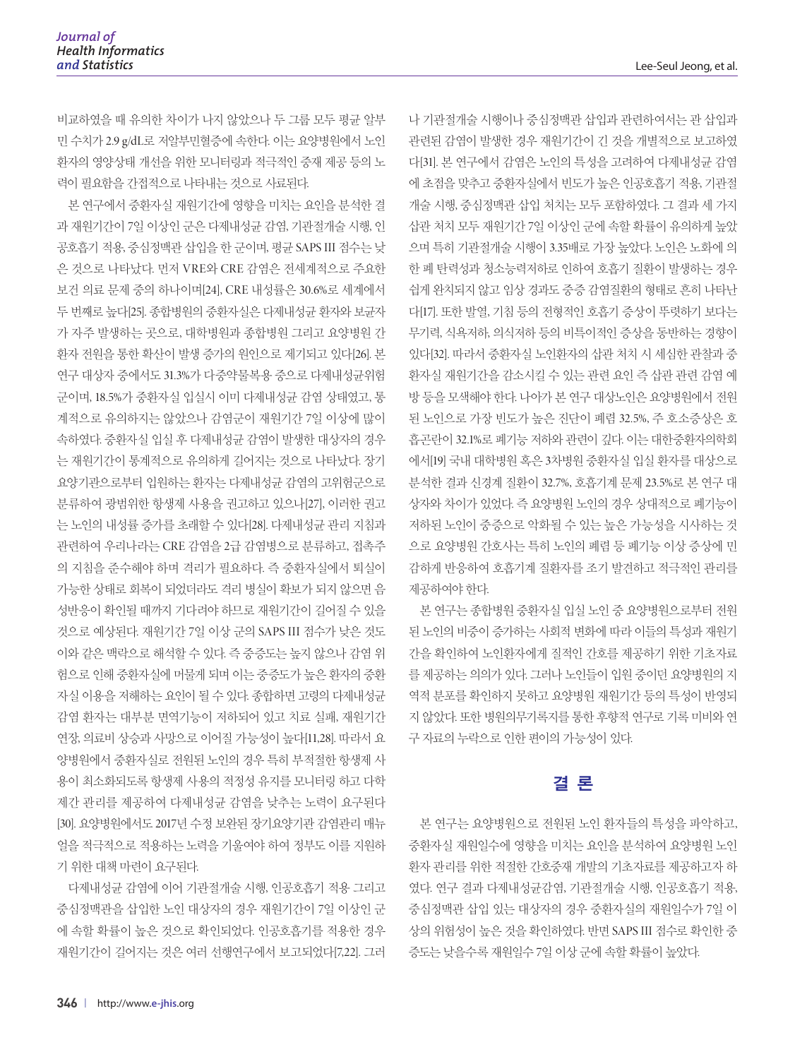비교하였을 때 유의한 차이가 나지 않았으나 두 그룹 모두 평균 알부 민 수치가 2.9 g/dL로 저알부민혈증에 속한다. 이는 요양병원에서 노인 환자의 영양상태 개선을 위한 모니터링과 적극적인 중재 제공 등의 노 력이 필요함을 간접적으로 나타내는 것으로 사료된다.

본 연구에서 중환자실 재원기간에 영향을 미치는 요인을 분석한 결 과 재원기간이 7일 이상인 군은 다제내성균 감염, 기관절개술 시행, 인 공호흡기 적용, 중심정맥관 삽입을 한 군이며, 평균 SAPS III 점수는 낮 은 것으로 나타났다. 먼저 VRE와 CRE 감염은 전세계적으로 주요한 보건 의료 문제 중의 하나이며[24], CRE 내성률은 30.6%로 세계에서 두 번째로 높다[25]. 종합병원의 중환자실은 다제내성균 환자와 보균자 가 자주 발생하는 곳으로, 대학병원과 종합병원 그리고 요양병원 간 환자 전원을 통한 확산이 발생 증가의 원인으로 제기되고 있다[26]. 본 연구 대상자 중에서도 31.3%가 다중약물복용 중으로 다제내성균위험 군이며, 18.5%가 중환자실 입실시 이미 다제내성균 감염 상태였고, 통 계적으로 유의하지는 않았으나 감염군이 재원기간 7일 이상에 많이 속하였다. 중환자실 입실 후 다제내성균 감염이 발생한 대상자의 경우 는 재원기간이 통계적으로 유의하게 길어지는 것으로 나타났다. 장기 요양기관으로부터 입원하는 환자는 다제내성균 감염의 고위험군으로 분류하여 광범위한 항생제 사용을 권고하고 있으나[27], 이러한 권고 는 노인의 내성률 증가를 초래할 수 있다[28]. 다제내성균 관리 지침과 관련하여 우리나라는 CRE 감염을 2급 감염병으로 분류하고, 접촉주 의 지침을 준수해야 하며 격리가 필요하다. 즉 중환자실에서 퇴실이 가능한 상태로 회복이 되었더라도 격리 병실이 확보가 되지 않으면 음 성반응이 확인될 때까지 기다려야 하므로 재원기간이 길어질 수 있을 것으로 예상된다. 재원기간 7일 이상 군의 SAPS III 점수가 낮은 것도 이와 같은 맥락으로 해석할 수 있다. 즉 중증도는 높지 않으나 감염 위 험으로 인해 중환자실에 머물게 되며 이는 중증도가 높은 환자의 중환 자실 이용을 저해하는 요인이 될 수 있다. 종합하면 고령의 다제내성균 감염 환자는 대부분 면역기능이 저하되어 있고 치료 실패, 재원기간 연장, 의료비 상승과 사망으로 이어질 가능성이 높다[11,28]. 따라서 요 양병원에서 중환자실로 전원된 노인의 경우 특히 부적절한 항생제 사 용이 최소화되도록 항생제 사용의 적정성 유지를 모니터링 하고 다학 제간 관리를 제공하여 다제내성균 감염을 낮추는 노력이 요구된다 [30]. 요양병원에서도 2017년 수정 보완된 장기요양기관 감염관리 매뉴 얼을 적극적으로 적용하는 노력을 기울여야 하여 정부도 이를 지원하 기 위한 대책 마련이 요구된다.

다제내성균 감염에 이어 기관절개술 시행, 인공호흡기 적용 그리고 중심정맥관을 삽입한 노인 대상자의 경우 재원기간이 7일 이상인 군 에 속할 확률이 높은 것으로 확인되었다. 인공호흡기를 적용한 경우 재원기간이 길어지는 것은 여러 선행연구에서 보고되었다[7,22]. 그러

나 기관절개술 시행이나 중심정맥관 삽입과 관련하여서는 관 삽입과 관련된 감염이 발생한 경우 재원기간이 긴 것을 개별적으로 보고하였 다[31]. 본 연구에서 감염은 노인의 특성을 고려하여 다제내성균 감염 에 초점을 맞추고 중환자실에서 빈도가 높은 인공호흡기 적용, 기관절 개술 시행, 중심정맥관 삽입 처치는 모두 포함하였다. 그 결과 세 가지 삽관 처치 모두 재원기간 7일 이상인 군에 속할 확률이 유의하게 높았 으며 특히 기관절개술 시행이 3.35배로 가장 높았다. 노인은 노화에 의 한 폐 탄력성과 청소능력저하로 인하여 호흡기 질환이 발생하는 경우 쉽게 완치되지 않고 임상 경과도 중증 감염질환의 형태로 흔히 나타난 다[17]. 또한 발열, 기침 등의 전형적인 호흡기 증상이 뚜렷하기 보다는 무기력, 식욕저하, 의식저하 등의 비특이적인 증상을 동반하는 경향이 있다[32]. 따라서 중환자실 노인환자의 삽관 처치 시 세심한 관찰과 중 환자실 재원기간을 감소시킬 수 있는 관련 요인 즉 삽관 관련 감염 예 방 등을 모색해야 한다. 나아가 본 연구 대상노인은 요양병원에서 전원 된 노인으로 가장 빈도가 높은 진단이 폐렴 32.5%, 주 호소증상은 호 흡곤란이 32.1%로 폐기능 저하와 관련이 깊다. 이는 대한중환자의학회 에서[19] 국내 대학병원 혹은 3차병원 중환자실 입실 환자를 대상으로 분석한 결과 신경계 질환이 32.7%, 호흡기계 문제 23.5%로 본 연구 대 상자와 차이가 있었다. 즉 요양병원 노인의 경우 상대적으로 폐기능이 저하된 노인이 중증으로 악화될 수 있는 높은 가능성을 시사하는 것 으로 요양병원 간호사는 특히 노인의 폐렴 등 폐기능 이상 증상에 민 감하게 반응하여 호흡기계 질환자를 조기 발견하고 적극적인 관리를 제공하여야 한다.

본 연구는 종합병원 중환자실 입실 노인 중 요양병원으로부터 전원 된 노인의 비중이 증가하는 사회적 변화에 따라 이들의 특성과 재원기 간을 확인하여 노인환자에게 질적인 간호를 제공하기 위한 기초자료 를 제공하는 의의가 있다. 그러나 노인들이 입원 중이던 요양병원의 지 역적 분포를 확인하지 못하고 요양병원 재원기간 등의 특성이 반영되 지 않았다. 또한 병원의무기록지를 통한 후향적 연구로 기록 미비와 연 구 자료의 누락으로 인한 편이의 가능성이 있다.

#### 결 론

본 연구는 요양병원으로 전원된 노인 환자들의 특성을 파악하고, 중환자실 재원일수에 영향을 미치는 요인을 분석하여 요양병원 노인 환자 관리를 위한 적절한 간호중재 개발의 기초자료를 제공하고자 하 였다. 연구 결과 다제내성균감염, 기관절개술 시행, 인공호흡기 적용, 중심정맥관 삽입 있는 대상자의 경우 중환자실의 재원일수가 7일 이 상의 위험성이 높은 것을 확인하였다. 반면 SAPS III 점수로 확인한 중 증도는 낮을수록 재원일수 7일 이상 군에 속할 확률이 높았다.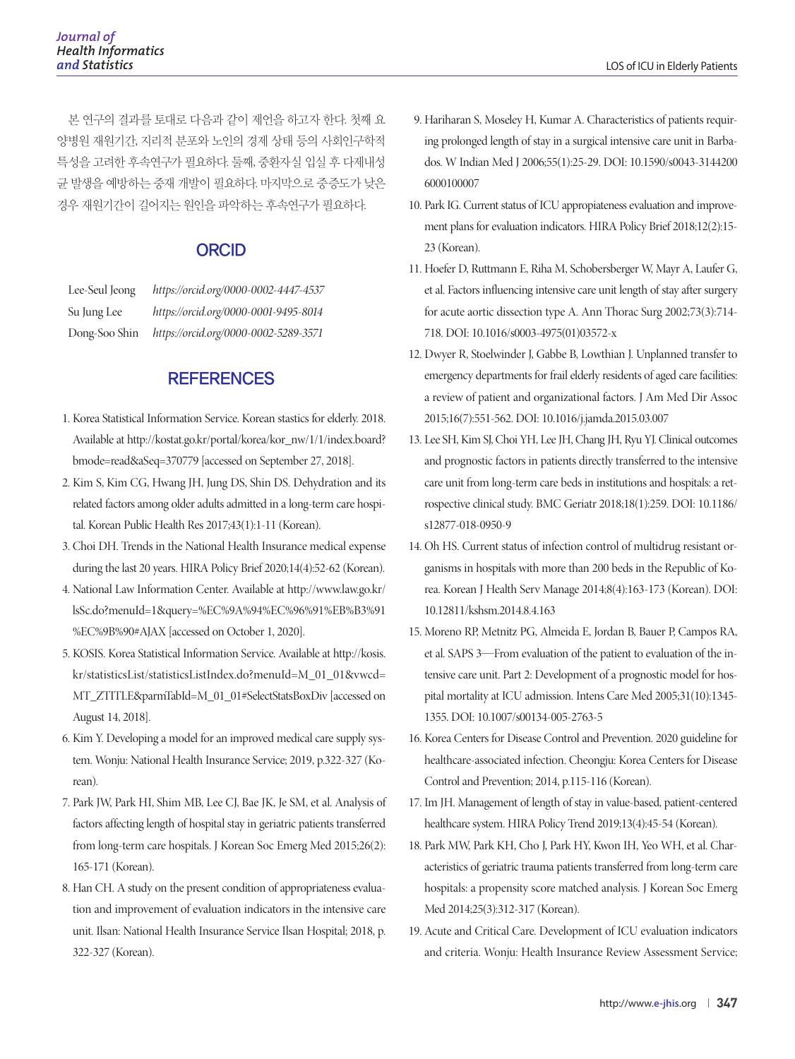본 연구의 결과를 토대로 다음과 같이 제언을 하고자 한다. 첫째 요 양병원 재원기간, 지리적 분포와 노인의 경제 상태 등의 사회인구학적 특성을 고려한 후속연구가 필요하다. 둘째, 중환자실 입실 후 다제내성 균 발생을 예방하는 중재 개발이 필요하다. 마지막으로 중증도가 낮은 경우 재원기간이 길어지는 원인을 파악하는 후속연구가 필요하다.

#### **ORCID**

| Lee-Seul Jeong | https://orcid.org/0000-0002-4447-4537 |
|----------------|---------------------------------------|
| Su Jung Lee    | https://orcid.org/0000-0001-9495-8014 |
| Dong-Soo Shin  | https://orcid.org/0000-0002-5289-3571 |

#### **REFERENCES**

- 1. Korea Statistical Information Service. Korean stastics for elderly. 2018. Available at [http://kostat.go.kr/portal/korea/kor\\_nw/1/1/index.board?](http://kostat.go.kr/portal/korea/kor_nw/1/1/index.board?bmode=read&aSeq=370779) [bmode=read&aSeq=370779](http://kostat.go.kr/portal/korea/kor_nw/1/1/index.board?bmode=read&aSeq=370779) [accessed on September 27, 2018].
- 2. Kim S, Kim CG, Hwang JH, Jung DS, Shin DS. Dehydration and its related factors among older adults admitted in a long-term care hospital. Korean Public Health Res 2017;43(1):1-11 (Korean).
- 3. Choi DH. Trends in the National Health Insurance medical expense during the last 20 years. HIRA Policy Brief 2020;14(4):52-62 (Korean).
- 4. National Law Information Center. Available at [http://www.law.go.kr/](http://www.law.go.kr/lsSc.do?menuId=1&query=%EC%9A%94%EC%96%91%EB%B3%91%EC%9B%90#AJAX) [lsSc.do?menuId=1&query=%EC%9A%94%EC%96%91%EB%B3%91](http://www.law.go.kr/lsSc.do?menuId=1&query=%EC%9A%94%EC%96%91%EB%B3%91%EC%9B%90#AJAX) [%EC%9B%90#AJAX](http://www.law.go.kr/lsSc.do?menuId=1&query=%EC%9A%94%EC%96%91%EB%B3%91%EC%9B%90#AJAX) [accessed on October 1, 2020].
- 5. KOSIS. Korea Statistical Information Service. Available at [http://kosis.](http://kosis.kr/statisticsList/statisticsListIndex.do?menuId=M_01_01&vwcd=MT_ZTITLE&parmTabId=M_01_01#SelectStatsBoxDiv) [kr/statisticsList/statisticsListIndex.do?menuId=M\\_01\\_01&vwcd=](http://kosis.kr/statisticsList/statisticsListIndex.do?menuId=M_01_01&vwcd=MT_ZTITLE&parmTabId=M_01_01#SelectStatsBoxDiv) [MT\\_ZTITLE&parmTabId=M\\_01\\_01#SelectStatsBoxDiv](http://kosis.kr/statisticsList/statisticsListIndex.do?menuId=M_01_01&vwcd=MT_ZTITLE&parmTabId=M_01_01#SelectStatsBoxDiv) [accessed on August 14, 2018].
- 6. Kim Y. Developing a model for an improved medical care supply system. Wonju: National Health Insurance Service; 2019, p.322-327 (Korean).
- 7. Park JW, Park HI, Shim MB, Lee CJ, Bae JK, Je SM, et al. Analysis of factors affecting length of hospital stay in geriatric patients transferred from long-term care hospitals. J Korean Soc Emerg Med 2015;26(2): 165-171 (Korean).
- 8. Han CH. A study on the present condition of appropriateness evaluation and improvement of evaluation indicators in the intensive care unit. Ilsan: National Health Insurance Service Ilsan Hospital; 2018, p. 322-327 (Korean).
- 9. Hariharan S, Moseley H, Kumar A. Characteristics of patients requiring prolonged length of stay in a surgical intensive care unit in Barbados. W Indian Med J 2006;55(1):25-29. DOI: 10.1590/s0043-3144200 6000100007
- 10. Park IG. Current status of ICU appropiateness evaluation and improvement plans for evaluation indicators. HIRA Policy Brief 2018;12(2):15- 23 (Korean).
- 11. Hoefer D, Ruttmann E, Riha M, Schobersberger W, Mayr A, Laufer G, et al. Factors influencing intensive care unit length of stay after surgery for acute aortic dissection type A. Ann Thorac Surg 2002;73(3):714- 718. DOI: 10.1016/s0003-4975(01)03572-x
- 12. Dwyer R, Stoelwinder J, Gabbe B, Lowthian J. Unplanned transfer to emergency departments for frail elderly residents of aged care facilities: a review of patient and organizational factors. J Am Med Dir Assoc 2015;16(7):551-562. DOI: 10.1016/j.jamda.2015.03.007
- 13. Lee SH, Kim SJ, Choi YH, Lee JH, Chang JH, Ryu YJ. Clinical outcomes and prognostic factors in patients directly transferred to the intensive care unit from long-term care beds in institutions and hospitals: a retrospective clinical study. BMC Geriatr 2018;18(1):259. DOI: 10.1186/ s12877-018-0950-9
- 14. Oh HS. Current status of infection control of multidrug resistant organisms in hospitals with more than 200 beds in the Republic of Korea. Korean J Health Serv Manage 2014;8(4):163-173 (Korean). DOI: 10.12811/kshsm.2014.8.4.163
- 15. Moreno RP, Metnitz PG, Almeida E, Jordan B, Bauer P, Campos RA, et al. SAPS 3—From evaluation of the patient to evaluation of the intensive care unit. Part 2: Development of a prognostic model for hospital mortality at ICU admission. Intens Care Med 2005;31(10):1345- 1355. DOI: 10.1007/s00134-005-2763-5
- 16. Korea Centers for Disease Control and Prevention. 2020 guideline for healthcare-associated infection. Cheongju: Korea Centers for Disease Control and Prevention; 2014, p.115-116 (Korean).
- 17. Im JH. Management of length of stay in value-based, patient-centered healthcare system. HIRA Policy Trend 2019;13(4):45-54 (Korean).
- 18. Park MW, Park KH, Cho J, Park HY, Kwon IH, Yeo WH, et al. Characteristics of geriatric trauma patients transferred from long-term care hospitals: a propensity score matched analysis. J Korean Soc Emerg Med 2014;25(3):312-317 (Korean).
- 19. Acute and Critical Care. Development of ICU evaluation indicators and criteria. Wonju: Health Insurance Review Assessment Service;